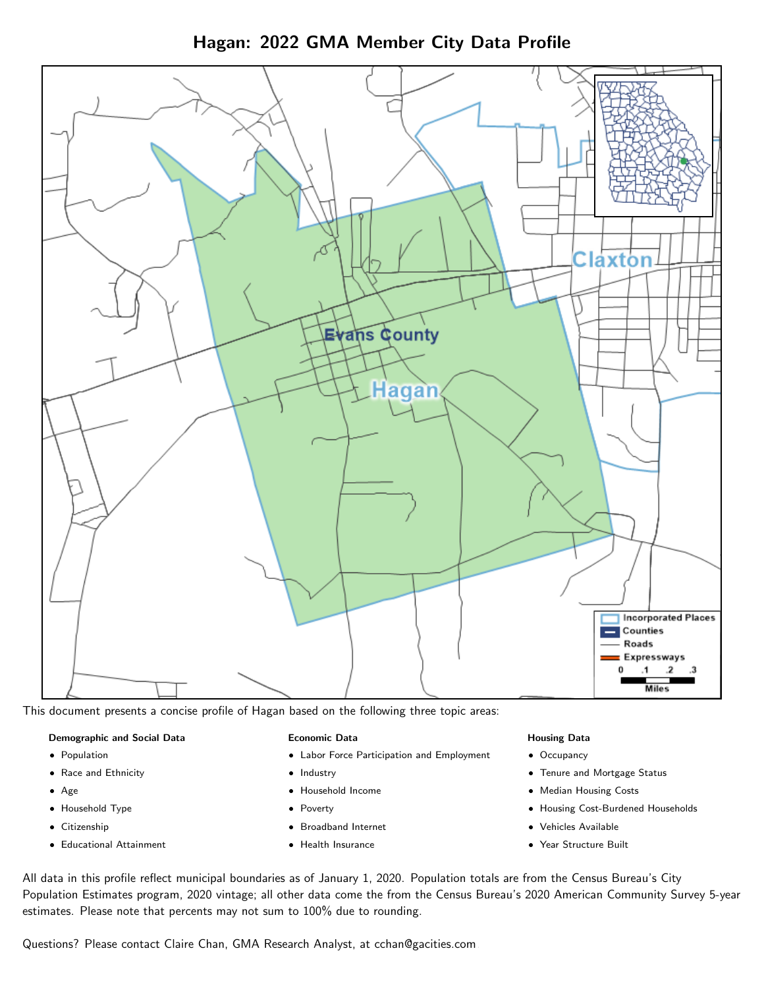Hagan: 2022 GMA Member City Data Profile



This document presents a concise profile of Hagan based on the following three topic areas:

#### Demographic and Social Data

- **•** Population
- Race and Ethnicity
- Age
- Household Type
- **Citizenship**
- Educational Attainment

#### Economic Data

- Labor Force Participation and Employment
- Industry
- Household Income
- Poverty
- Broadband Internet
- Health Insurance

## Housing Data

- Occupancy
- Tenure and Mortgage Status
- Median Housing Costs
- Housing Cost-Burdened Households
- Vehicles Available
- Year Structure Built

All data in this profile reflect municipal boundaries as of January 1, 2020. Population totals are from the Census Bureau's City Population Estimates program, 2020 vintage; all other data come the from the Census Bureau's 2020 American Community Survey 5-year estimates. Please note that percents may not sum to 100% due to rounding.

Questions? Please contact Claire Chan, GMA Research Analyst, at [cchan@gacities.com.](mailto:cchan@gacities.com)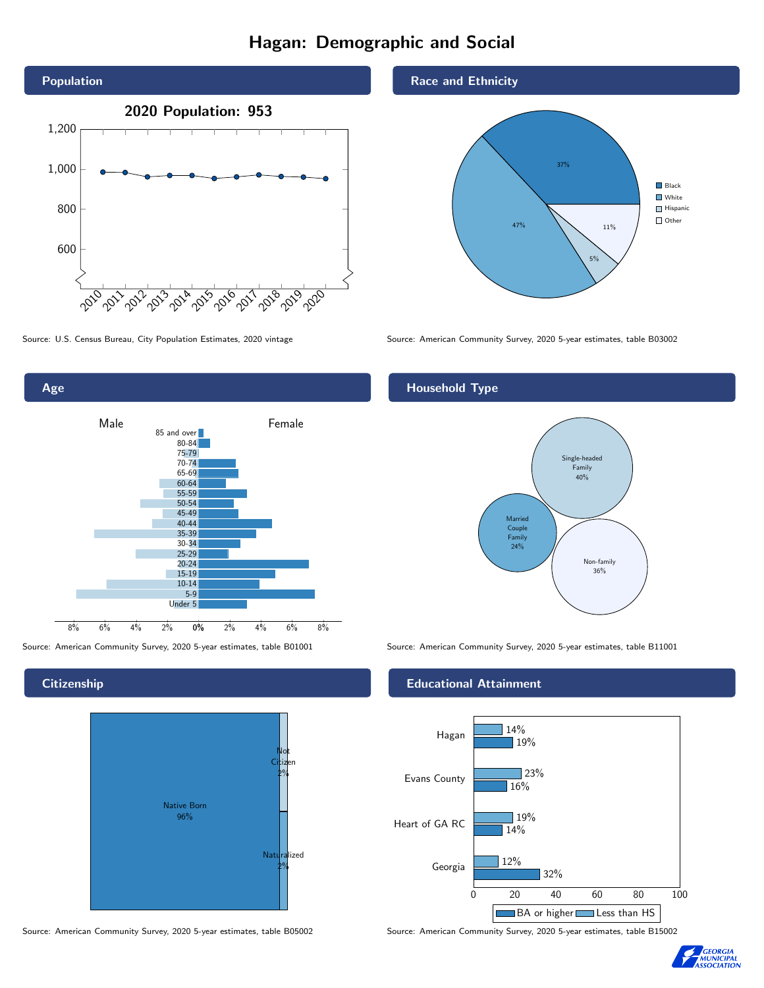# Hagan: Demographic and Social





# **Citizenship**



Source: American Community Survey, 2020 5-year estimates, table B05002 Source: American Community Survey, 2020 5-year estimates, table B15002

## Race and Ethnicity



Source: U.S. Census Bureau, City Population Estimates, 2020 vintage Source: American Community Survey, 2020 5-year estimates, table B03002

# Household Type



Source: American Community Survey, 2020 5-year estimates, table B01001 Source: American Community Survey, 2020 5-year estimates, table B11001

## Educational Attainment



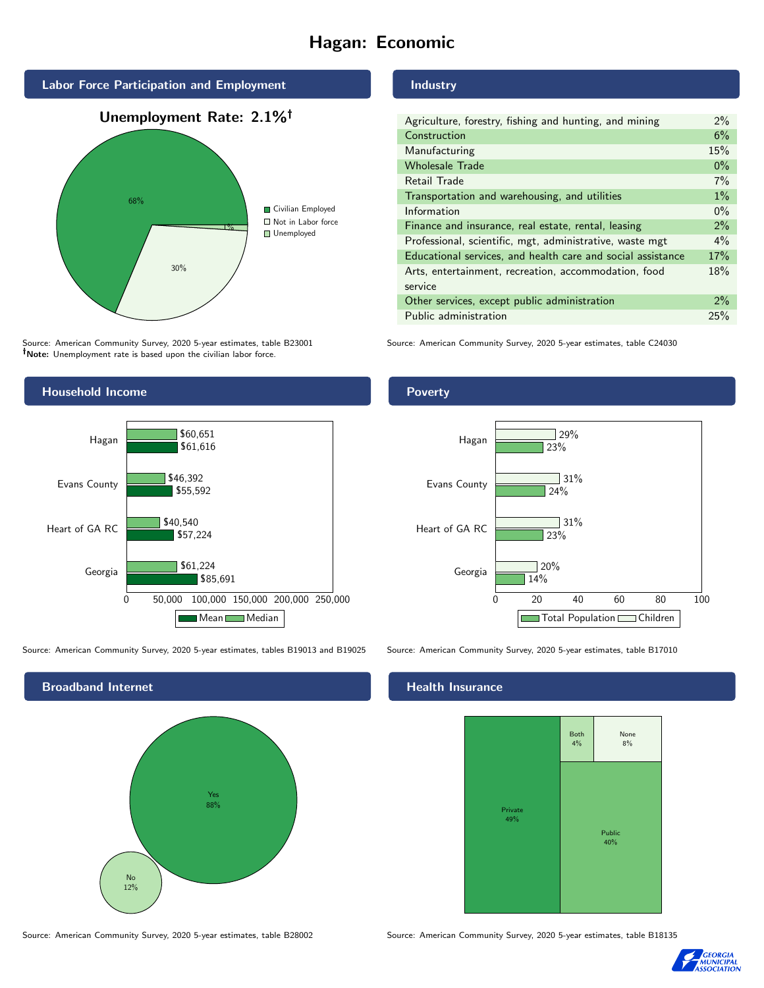# Hagan: Economic



Source: American Community Survey, 2020 5-year estimates, table B23001 Note: Unemployment rate is based upon the civilian labor force.

## Industry

| Agriculture, forestry, fishing and hunting, and mining      | 2%    |
|-------------------------------------------------------------|-------|
| Construction                                                | 6%    |
| Manufacturing                                               | 15%   |
| <b>Wholesale Trade</b>                                      | $0\%$ |
| Retail Trade                                                | 7%    |
| Transportation and warehousing, and utilities               | $1\%$ |
| Information                                                 | $0\%$ |
| Finance and insurance, real estate, rental, leasing         | 2%    |
| Professional, scientific, mgt, administrative, waste mgt    | $4\%$ |
| Educational services, and health care and social assistance | 17%   |
| Arts, entertainment, recreation, accommodation, food        | 18%   |
| service                                                     |       |
| Other services, except public administration                | $2\%$ |
| Public administration                                       | 25%   |

Source: American Community Survey, 2020 5-year estimates, table C24030



Source: American Community Survey, 2020 5-year estimates, tables B19013 and B19025 Source: American Community Survey, 2020 5-year estimates, table B17010



### Health Insurance



23%

 $31%$ 

31%

 $24%$ 

23%

 $\sqrt{29\%}$ 

Source: American Community Survey, 2020 5-year estimates, table B28002 Source: American Community Survey, 2020 5-year estimates, table B18135